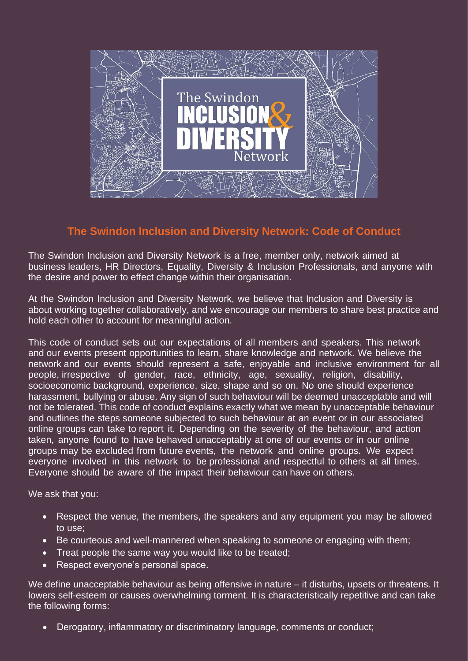

## **The Swindon Inclusion and Diversity Network: Code of Conduct**

The Swindon Inclusion and Diversity Network is a free, member only, network aimed at business leaders, HR Directors, Equality, Diversity & Inclusion Professionals, and anyone with the desire and power to effect change within their organisation.

At the Swindon Inclusion and Diversity Network, we believe that Inclusion and Diversity is about working together collaboratively, and we encourage our members to share best practice and hold each other to account for meaningful action.

This code of conduct sets out our expectations of all members and speakers. This network and our events present opportunities to learn, share knowledge and network. We believe the network and our events should represent a safe, enjoyable and inclusive environment for all people, irrespective of gender, race, ethnicity, age, sexuality, religion, disability, socioeconomic background, experience, size, shape and so on. No one should experience harassment, bullying or abuse. Any sign of such behaviour will be deemed unacceptable and will not be tolerated. This code of conduct explains exactly what we mean by unacceptable behaviour and outlines the steps someone subjected to such behaviour at an event or in our associated online groups can take to report it. Depending on the severity of the behaviour, and action taken, anyone found to have behaved unacceptably at one of our events or in our online groups may be excluded from future events, the network and online groups. We expect everyone involved in this network to be professional and respectful to others at all times. Everyone should be aware of the impact their behaviour can have on others.

We ask that you:

- Respect the venue, the members, the speakers and any equipment you may be allowed to use;
- Be courteous and well-mannered when speaking to someone or engaging with them;
- Treat people the same way you would like to be treated;
- Respect everyone's personal space.

We define unacceptable behaviour as being offensive in nature – it disturbs, upsets or threatens. It lowers self-esteem or causes overwhelming torment. It is characteristically repetitive and can take the following forms:

• Derogatory, inflammatory or discriminatory language, comments or conduct;